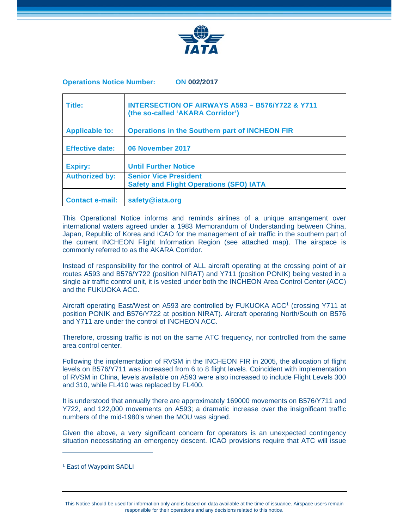

## **Operations Notice Number: ON 002/2017**

| Title:                 | <b>INTERSECTION OF AIRWAYS A593 - B576/Y722 &amp; Y711</b><br>(the so-called 'AKARA Corridor') |
|------------------------|------------------------------------------------------------------------------------------------|
| <b>Applicable to:</b>  | <b>Operations in the Southern part of INCHEON FIR</b>                                          |
| <b>Effective date:</b> | 06 November 2017                                                                               |
| <b>Expiry:</b>         | <b>Until Further Notice</b>                                                                    |
| <b>Authorized by:</b>  | <b>Senior Vice President</b><br><b>Safety and Flight Operations (SFO) IATA</b>                 |
| <b>Contact e-mail:</b> | safety@iata.org                                                                                |

This Operational Notice informs and reminds airlines of a unique arrangement over international waters agreed under a 1983 Memorandum of Understanding between China, Japan, Republic of Korea and ICAO for the management of air traffic in the southern part of the current INCHEON Flight Information Region (see attached map). The airspace is commonly referred to as the AKARA Corridor.

Instead of responsibility for the control of ALL aircraft operating at the crossing point of air routes A593 and B576/Y722 (position NIRAT) and Y711 (position PONIK) being vested in a single air traffic control unit, it is vested under both the INCHEON Area Control Center (ACC) and the FUKUOKA ACC.

Aircraft operating East/West on A593 are controlled by FUKUOKA ACC<sup>1</sup> (crossing Y711 at position PONIK and B576/Y722 at position NIRAT). Aircraft operating North/South on B576 and Y711 are under the control of INCHEON ACC.

Therefore, crossing traffic is not on the same ATC frequency, nor controlled from the same area control center.

Following the implementation of RVSM in the INCHEON FIR in 2005, the allocation of flight levels on B576/Y711 was increased from 6 to 8 flight levels. Coincident with implementation of RVSM in China, levels available on A593 were also increased to include Flight Levels 300 and 310, while FL410 was replaced by FL400.

It is understood that annually there are approximately 169000 movements on B576/Y711 and Y722, and 122,000 movements on A593; a dramatic increase over the insignificant traffic numbers of the mid-1980's when the MOU was signed.

Given the above, a very significant concern for operators is an unexpected contingency situation necessitating an emergency descent. ICAO provisions require that ATC will issue

 $\overline{a}$ 

<sup>1</sup> East of Waypoint SADLI

This Notice should be used for information only and is based on data available at the time of issuance. Airspace users remain responsible for their operations and any decisions related to this notice.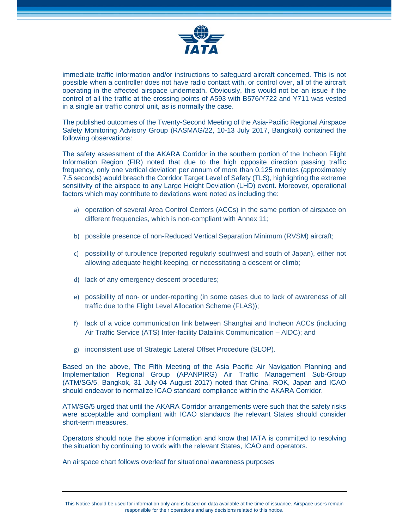

immediate traffic information and/or instructions to safeguard aircraft concerned. This is not possible when a controller does not have radio contact with, or control over, all of the aircraft operating in the affected airspace underneath. Obviously, this would not be an issue if the control of all the traffic at the crossing points of A593 with B576/Y722 and Y711 was vested in a single air traffic control unit, as is normally the case.

The published outcomes of the Twenty-Second Meeting of the Asia-Pacific Regional Airspace Safety Monitoring Advisory Group (RASMAG/22, 10-13 July 2017, Bangkok) contained the following observations:

The safety assessment of the AKARA Corridor in the southern portion of the Incheon Flight Information Region (FIR) noted that due to the high opposite direction passing traffic frequency, only one vertical deviation per annum of more than 0.125 minutes (approximately 7.5 seconds) would breach the Corridor Target Level of Safety (TLS), highlighting the extreme sensitivity of the airspace to any Large Height Deviation (LHD) event. Moreover, operational factors which may contribute to deviations were noted as including the:

- a) operation of several Area Control Centers (ACCs) in the same portion of airspace on different frequencies, which is non-compliant with Annex 11;
- b) possible presence of non-Reduced Vertical Separation Minimum (RVSM) aircraft;
- c) possibility of turbulence (reported regularly southwest and south of Japan), either not allowing adequate height-keeping, or necessitating a descent or climb;
- d) lack of any emergency descent procedures;
- e) possibility of non- or under-reporting (in some cases due to lack of awareness of all traffic due to the Flight Level Allocation Scheme (FLAS));
- f) lack of a voice communication link between Shanghai and Incheon ACCs (including Air Traffic Service (ATS) Inter-facility Datalink Communication – AIDC); and
- g) inconsistent use of Strategic Lateral Offset Procedure (SLOP).

Based on the above, The Fifth Meeting of the Asia Pacific Air Navigation Planning and Implementation Regional Group (APANPIRG) Air Traffic Management Sub-Group (ATM/SG/5, Bangkok, 31 July-04 August 2017) noted that China, ROK, Japan and ICAO should endeavor to normalize ICAO standard compliance within the AKARA Corridor.

ATM/SG/5 urged that until the AKARA Corridor arrangements were such that the safety risks were acceptable and compliant with ICAO standards the relevant States should consider short-term measures.

Operators should note the above information and know that IATA is committed to resolving the situation by continuing to work with the relevant States, ICAO and operators.

An airspace chart follows overleaf for situational awareness purposes

This Notice should be used for information only and is based on data available at the time of issuance. Airspace users remain responsible for their operations and any decisions related to this notice.